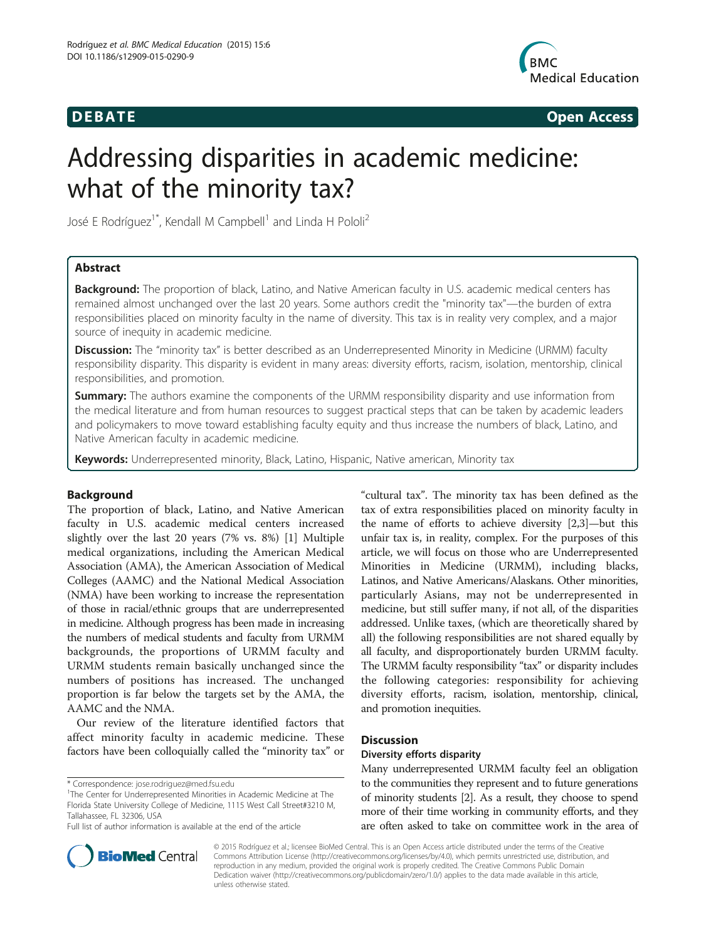

**DEBATE CONSIDERENT CONSIDERED ACCESS** 

# Addressing disparities in academic medicine: what of the minority tax?

José E Rodríguez<sup>1\*</sup>, Kendall M Campbell<sup>1</sup> and Linda H Pololi<sup>2</sup>

# Abstract

**Background:** The proportion of black, Latino, and Native American faculty in U.S. academic medical centers has remained almost unchanged over the last 20 years. Some authors credit the "minority tax"—the burden of extra responsibilities placed on minority faculty in the name of diversity. This tax is in reality very complex, and a major source of inequity in academic medicine.

**Discussion:** The "minority tax" is better described as an Underrepresented Minority in Medicine (URMM) faculty responsibility disparity. This disparity is evident in many areas: diversity efforts, racism, isolation, mentorship, clinical responsibilities, and promotion.

**Summary:** The authors examine the components of the URMM responsibility disparity and use information from the medical literature and from human resources to suggest practical steps that can be taken by academic leaders and policymakers to move toward establishing faculty equity and thus increase the numbers of black, Latino, and Native American faculty in academic medicine.

Keywords: Underrepresented minority, Black, Latino, Hispanic, Native american, Minority tax

# Background

The proportion of black, Latino, and Native American faculty in U.S. academic medical centers increased slightly over the last 20 years (7% vs. 8%) [\[1](#page-4-0)] Multiple medical organizations, including the American Medical Association (AMA), the American Association of Medical Colleges (AAMC) and the National Medical Association (NMA) have been working to increase the representation of those in racial/ethnic groups that are underrepresented in medicine. Although progress has been made in increasing the numbers of medical students and faculty from URMM backgrounds, the proportions of URMM faculty and URMM students remain basically unchanged since the numbers of positions has increased. The unchanged proportion is far below the targets set by the AMA, the AAMC and the NMA.

Our review of the literature identified factors that affect minority faculty in academic medicine. These factors have been colloquially called the "minority tax" or



### **Discussion**

# Diversity efforts disparity

Many underrepresented URMM faculty feel an obligation to the communities they represent and to future generations of minority students [[2](#page-4-0)]. As a result, they choose to spend more of their time working in community efforts, and they are often asked to take on committee work in the area of



© 2015 Rodríguez et al.; licensee BioMed Central. This is an Open Access article distributed under the terms of the Creative Commons Attribution License [\(http://creativecommons.org/licenses/by/4.0\)](http://creativecommons.org/licenses/by/4.0), which permits unrestricted use, distribution, and reproduction in any medium, provided the original work is properly credited. The Creative Commons Public Domain Dedication waiver [\(http://creativecommons.org/publicdomain/zero/1.0/](http://creativecommons.org/publicdomain/zero/1.0/)) applies to the data made available in this article, unless otherwise stated.

<sup>\*</sup> Correspondence: [jose.rodriguez@med.fsu.edu](mailto:jose.rodriguez@med.fsu.edu) <sup>1</sup>

<sup>&</sup>lt;sup>1</sup>The Center for Underrepresented Minorities in Academic Medicine at The Florida State University College of Medicine, 1115 West Call Street#3210 M, Tallahassee, FL 32306, USA

Full list of author information is available at the end of the article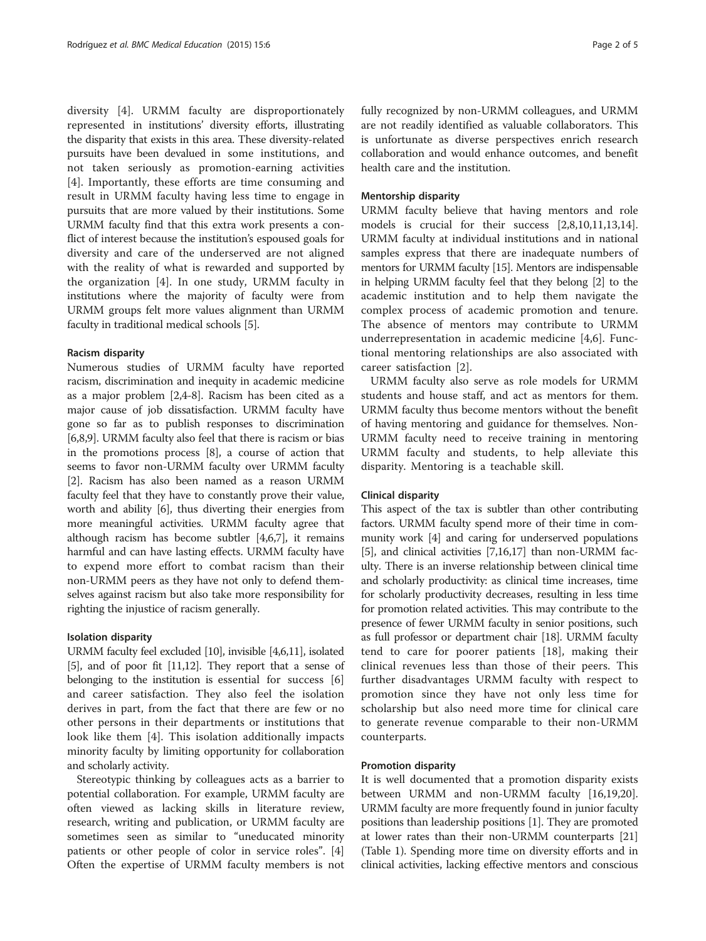diversity [\[4](#page-4-0)]. URMM faculty are disproportionately represented in institutions' diversity efforts, illustrating the disparity that exists in this area. These diversity-related pursuits have been devalued in some institutions, and not taken seriously as promotion-earning activities [[4\]](#page-4-0). Importantly, these efforts are time consuming and result in URMM faculty having less time to engage in pursuits that are more valued by their institutions. Some URMM faculty find that this extra work presents a conflict of interest because the institution's espoused goals for diversity and care of the underserved are not aligned with the reality of what is rewarded and supported by the organization [[4\]](#page-4-0). In one study, URMM faculty in institutions where the majority of faculty were from URMM groups felt more values alignment than URMM faculty in traditional medical schools [\[5\]](#page-4-0).

# Racism disparity

Numerous studies of URMM faculty have reported racism, discrimination and inequity in academic medicine as a major problem [\[2,4](#page-4-0)-[8](#page-4-0)]. Racism has been cited as a major cause of job dissatisfaction. URMM faculty have gone so far as to publish responses to discrimination [[6,8](#page-4-0),[9](#page-4-0)]. URMM faculty also feel that there is racism or bias in the promotions process [[8](#page-4-0)], a course of action that seems to favor non-URMM faculty over URMM faculty [[2\]](#page-4-0). Racism has also been named as a reason URMM faculty feel that they have to constantly prove their value, worth and ability [\[6](#page-4-0)], thus diverting their energies from more meaningful activities. URMM faculty agree that although racism has become subtler [\[4,6,7\]](#page-4-0), it remains harmful and can have lasting effects. URMM faculty have to expend more effort to combat racism than their non-URMM peers as they have not only to defend themselves against racism but also take more responsibility for righting the injustice of racism generally.

# Isolation disparity

URMM faculty feel excluded [\[10\]](#page-4-0), invisible [\[4,6,11\]](#page-4-0), isolated [[5](#page-4-0)], and of poor fit [\[11,12](#page-4-0)]. They report that a sense of belonging to the institution is essential for success [\[6](#page-4-0)] and career satisfaction. They also feel the isolation derives in part, from the fact that there are few or no other persons in their departments or institutions that look like them [\[4](#page-4-0)]. This isolation additionally impacts minority faculty by limiting opportunity for collaboration and scholarly activity.

Stereotypic thinking by colleagues acts as a barrier to potential collaboration. For example, URMM faculty are often viewed as lacking skills in literature review, research, writing and publication, or URMM faculty are sometimes seen as similar to "uneducated minority patients or other people of color in service roles". [\[4](#page-4-0)] Often the expertise of URMM faculty members is not fully recognized by non-URMM colleagues, and URMM are not readily identified as valuable collaborators. This is unfortunate as diverse perspectives enrich research collaboration and would enhance outcomes, and benefit health care and the institution.

# Mentorship disparity

URMM faculty believe that having mentors and role models is crucial for their success [\[2,8](#page-4-0),[10](#page-4-0),[11,13,14](#page-4-0)]. URMM faculty at individual institutions and in national samples express that there are inadequate numbers of mentors for URMM faculty [\[15\]](#page-4-0). Mentors are indispensable in helping URMM faculty feel that they belong [[2\]](#page-4-0) to the academic institution and to help them navigate the complex process of academic promotion and tenure. The absence of mentors may contribute to URMM underrepresentation in academic medicine [[4,6](#page-4-0)]. Functional mentoring relationships are also associated with career satisfaction [[2](#page-4-0)].

URMM faculty also serve as role models for URMM students and house staff, and act as mentors for them. URMM faculty thus become mentors without the benefit of having mentoring and guidance for themselves. Non-URMM faculty need to receive training in mentoring URMM faculty and students, to help alleviate this disparity. Mentoring is a teachable skill.

#### Clinical disparity

This aspect of the tax is subtler than other contributing factors. URMM faculty spend more of their time in community work [\[4](#page-4-0)] and caring for underserved populations [[5](#page-4-0)], and clinical activities [\[7,16,17](#page-4-0)] than non-URMM faculty. There is an inverse relationship between clinical time and scholarly productivity: as clinical time increases, time for scholarly productivity decreases, resulting in less time for promotion related activities. This may contribute to the presence of fewer URMM faculty in senior positions, such as full professor or department chair [[18](#page-4-0)]. URMM faculty tend to care for poorer patients [[18\]](#page-4-0), making their clinical revenues less than those of their peers. This further disadvantages URMM faculty with respect to promotion since they have not only less time for scholarship but also need more time for clinical care to generate revenue comparable to their non-URMM counterparts.

# Promotion disparity

It is well documented that a promotion disparity exists between URMM and non-URMM faculty [[16,19,20](#page-4-0)]. URMM faculty are more frequently found in junior faculty positions than leadership positions [[1\]](#page-4-0). They are promoted at lower rates than their non-URMM counterparts [[21](#page-4-0)] (Table [1\)](#page-2-0). Spending more time on diversity efforts and in clinical activities, lacking effective mentors and conscious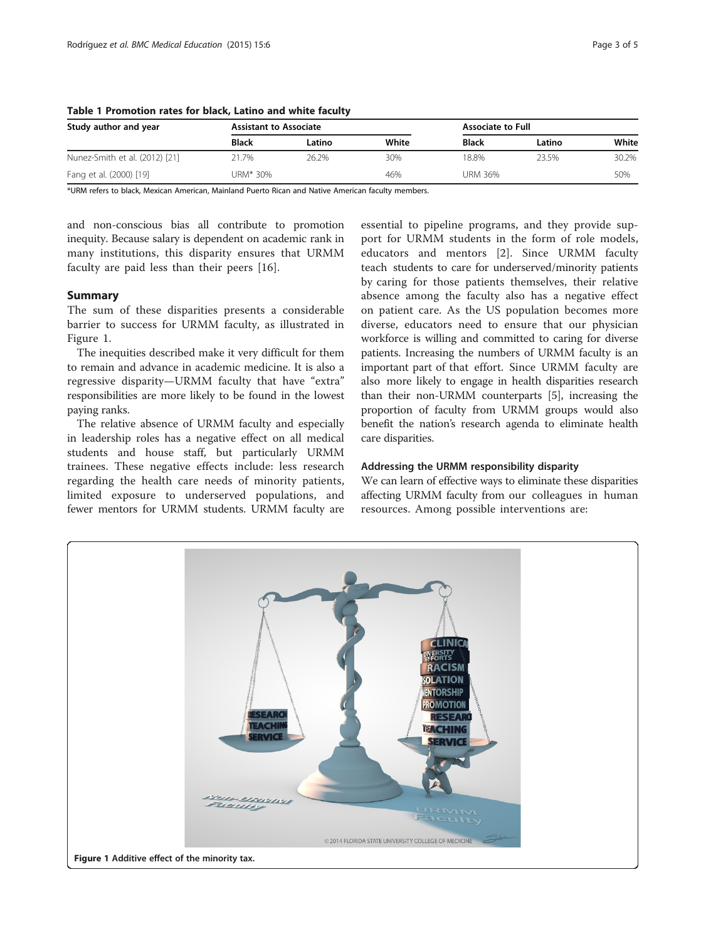| Study author and year          | <b>Assistant to Associate</b> |        |       | <b>Associate to Full</b> |        |       |
|--------------------------------|-------------------------------|--------|-------|--------------------------|--------|-------|
|                                | <b>Black</b>                  | Latino | White | <b>Black</b>             | Latino | White |
| Nunez-Smith et al. (2012) [21] | 21.7%                         | 26.2%  | 30%   | 18.8%                    | 23.5%  | 30.2% |
| Fang et al. (2000) [19]        | URM* 30%                      |        | 46%   | URM 36%                  |        | 50%   |

<span id="page-2-0"></span>

\*URM refers to black, Mexican American, Mainland Puerto Rican and Native American faculty members.

and non-conscious bias all contribute to promotion inequity. Because salary is dependent on academic rank in many institutions, this disparity ensures that URMM faculty are paid less than their peers [[16\]](#page-4-0).

# Summary

The sum of these disparities presents a considerable barrier to success for URMM faculty, as illustrated in Figure 1.

The inequities described make it very difficult for them to remain and advance in academic medicine. It is also a regressive disparity—URMM faculty that have "extra" responsibilities are more likely to be found in the lowest paying ranks.

The relative absence of URMM faculty and especially in leadership roles has a negative effect on all medical students and house staff, but particularly URMM trainees. These negative effects include: less research regarding the health care needs of minority patients, limited exposure to underserved populations, and fewer mentors for URMM students. URMM faculty are

essential to pipeline programs, and they provide support for URMM students in the form of role models, educators and mentors [\[2](#page-4-0)]. Since URMM faculty teach students to care for underserved/minority patients by caring for those patients themselves, their relative absence among the faculty also has a negative effect on patient care. As the US population becomes more diverse, educators need to ensure that our physician workforce is willing and committed to caring for diverse patients. Increasing the numbers of URMM faculty is an important part of that effort. Since URMM faculty are also more likely to engage in health disparities research than their non-URMM counterparts [\[5](#page-4-0)], increasing the proportion of faculty from URMM groups would also benefit the nation's research agenda to eliminate health care disparities.

# Addressing the URMM responsibility disparity

We can learn of effective ways to eliminate these disparities affecting URMM faculty from our colleagues in human resources. Among possible interventions are:

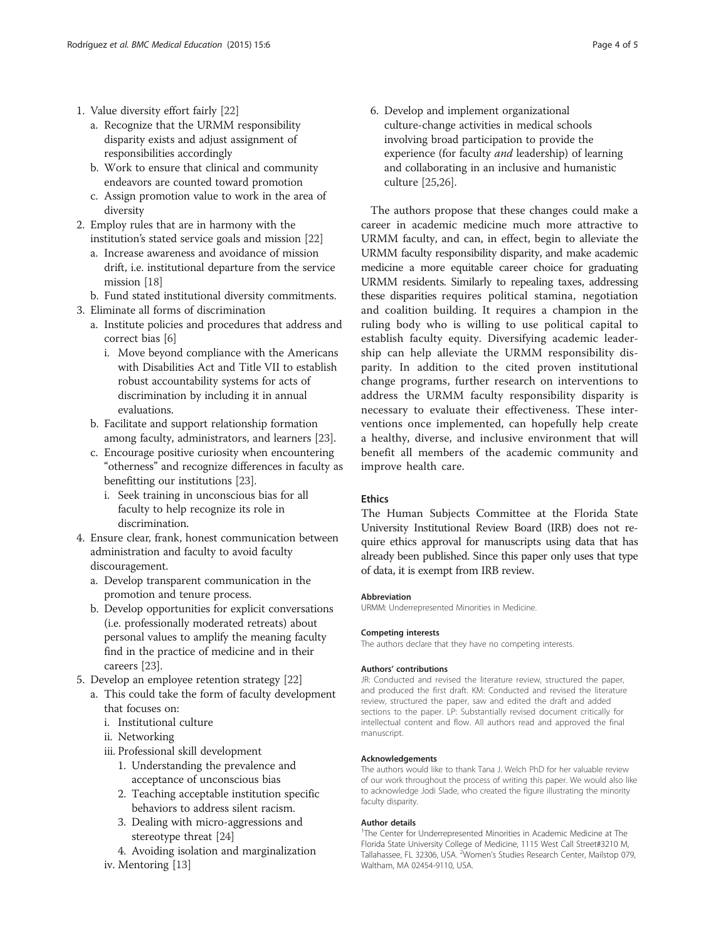- 1. Value diversity effort fairly [\[22\]](#page-4-0)
	- a. Recognize that the URMM responsibility disparity exists and adjust assignment of responsibilities accordingly
	- b. Work to ensure that clinical and community endeavors are counted toward promotion
	- c. Assign promotion value to work in the area of diversity
- 2. Employ rules that are in harmony with the institution's stated service goals and mission [\[22\]](#page-4-0)
	- a. Increase awareness and avoidance of mission drift, i.e. institutional departure from the service mission [[18](#page-4-0)]
	- b. Fund stated institutional diversity commitments.
- 3. Eliminate all forms of discrimination
	- a. Institute policies and procedures that address and correct bias [\[6\]](#page-4-0)
		- i. Move beyond compliance with the Americans with Disabilities Act and Title VII to establish robust accountability systems for acts of discrimination by including it in annual evaluations.
	- b. Facilitate and support relationship formation among faculty, administrators, and learners [[23](#page-4-0)].
	- c. Encourage positive curiosity when encountering "otherness" and recognize differences in faculty as benefitting our institutions [[23](#page-4-0)].
		- i. Seek training in unconscious bias for all faculty to help recognize its role in discrimination.
- 4. Ensure clear, frank, honest communication between administration and faculty to avoid faculty discouragement.
	- a. Develop transparent communication in the promotion and tenure process.
	- b. Develop opportunities for explicit conversations (i.e. professionally moderated retreats) about personal values to amplify the meaning faculty find in the practice of medicine and in their careers [\[23\]](#page-4-0).
- 5. Develop an employee retention strategy [[22](#page-4-0)]
	- a. This could take the form of faculty development that focuses on:
		- i. Institutional culture
		- ii. Networking
		- iii. Professional skill development
			- 1. Understanding the prevalence and acceptance of unconscious bias
			- 2. Teaching acceptable institution specific behaviors to address silent racism.
			- 3. Dealing with micro-aggressions and stereotype threat [\[24\]](#page-4-0)
			- 4. Avoiding isolation and marginalization
		- iv. Mentoring [[13](#page-4-0)]

6. Develop and implement organizational culture-change activities in medical schools involving broad participation to provide the experience (for faculty and leadership) of learning and collaborating in an inclusive and humanistic culture [[25,26](#page-4-0)].

The authors propose that these changes could make a career in academic medicine much more attractive to URMM faculty, and can, in effect, begin to alleviate the URMM faculty responsibility disparity, and make academic medicine a more equitable career choice for graduating URMM residents. Similarly to repealing taxes, addressing these disparities requires political stamina, negotiation and coalition building. It requires a champion in the ruling body who is willing to use political capital to establish faculty equity. Diversifying academic leadership can help alleviate the URMM responsibility disparity. In addition to the cited proven institutional change programs, further research on interventions to address the URMM faculty responsibility disparity is necessary to evaluate their effectiveness. These interventions once implemented, can hopefully help create a healthy, diverse, and inclusive environment that will benefit all members of the academic community and improve health care.

# Ethics

The Human Subjects Committee at the Florida State University Institutional Review Board (IRB) does not require ethics approval for manuscripts using data that has already been published. Since this paper only uses that type of data, it is exempt from IRB review.

# Abbreviation

URMM: Underrepresented Minorities in Medicine.

# Competing interests

The authors declare that they have no competing interests.

#### Authors' contributions

JR: Conducted and revised the literature review, structured the paper, and produced the first draft. KM: Conducted and revised the literature review, structured the paper, saw and edited the draft and added sections to the paper. LP: Substantially revised document critically for intellectual content and flow. All authors read and approved the final manuscript.

#### Acknowledgements

The authors would like to thank Tana J. Welch PhD for her valuable review of our work throughout the process of writing this paper. We would also like to acknowledge Jodi Slade, who created the figure illustrating the minority faculty disparity.

#### Author details

<sup>1</sup>The Center for Underrepresented Minorities in Academic Medicine at The Florida State University College of Medicine, 1115 West Call Street#3210 M, Tallahassee, FL 32306, USA. <sup>2</sup>Women's Studies Research Center, Mailstop 079, Waltham, MA 02454-9110, USA.